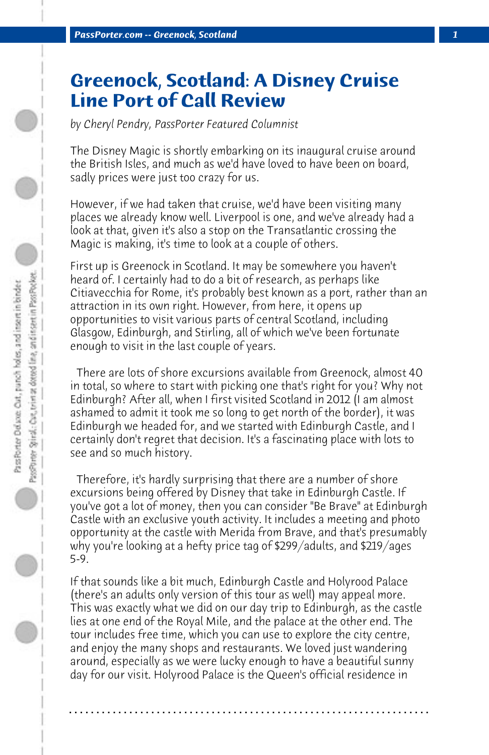## **Greenock, Scotland: A Disney Cruise Line Port of Call Review**

*by Cheryl Pendry, PassPorter Featured Columnist*

The Disney Magic is shortly embarking on its inaugural cruise around the British Isles, and much as we'd have loved to have been on board, sadly prices were just too crazy for us.

However, if we had taken that cruise, we'd have been visiting many places we already know well. Liverpool is one, and we've already had a look at that, given it's also a stop on the Transatlantic crossing the Magic is making, it's time to look at a couple of others.

First up is Greenock in Scotland. It may be somewhere you haven't heard of. I certainly had to do a bit of research, as perhaps like Citiavecchia for Rome, it's probably best known as a port, rather than an attraction in its own right. However, from here, it opens up opportunities to visit various parts of central Scotland, including Glasgow, Edinburgh, and Stirling, all of which we've been fortunate enough to visit in the last couple of years.

 There are lots of shore excursions available from Greenock, almost 40 in total, so where to start with picking one that's right for you? Why not Edinburgh? After all, when I first visited Scotland in 2012 (I am almost ashamed to admit it took me so long to get north of the border), it was Edinburgh we headed for, and we started with Edinburgh Castle, and I certainly don't regret that decision. It's a fascinating place with lots to see and so much history.

 Therefore, it's hardly surprising that there are a number of shore excursions being offered by Disney that take in Edinburgh Castle. If you've got a lot of money, then you can consider "Be Brave" at Edinburgh Castle with an exclusive youth activity. It includes a meeting and photo opportunity at the castle with Merida from Brave, and that's presumably why you're looking at a hefty price tag of \$299/adults, and \$219/ages 5-9.

If that sounds like a bit much, Edinburgh Castle and Holyrood Palace (there's an adults only version of this tour as well) may appeal more. This was exactly what we did on our day trip to Edinburgh, as the castle lies at one end of the Royal Mile, and the palace at the other end. The tour includes free time, which you can use to explore the city centre, and enjoy the many shops and restaurants. We loved just wandering around, especially as we were lucky enough to have a beautiful sunny day for our visit. Holyrood Palace is the Queen's official residence in

**. . . . . . . . . . . . . . . . . . . . . . . . . . . . . . . . . . . . . . . . . . . . . . . . . . . . . . . . . . . . . . . . . .**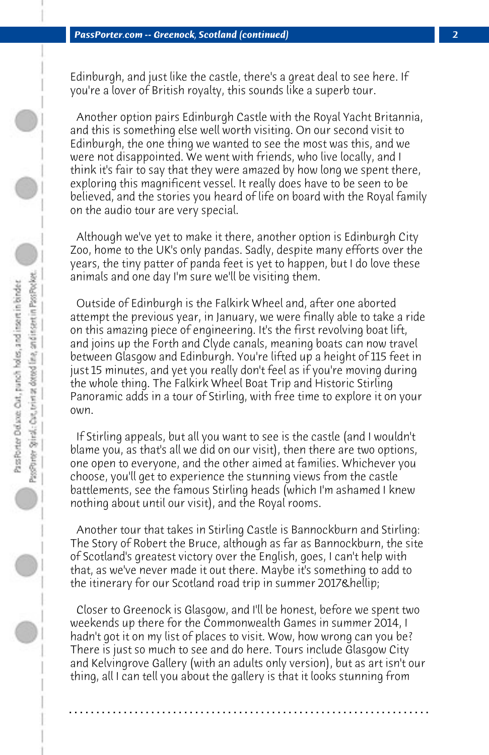Edinburgh, and just like the castle, there's a great deal to see here. If you're a lover of British royalty, this sounds like a superb tour.

 Another option pairs Edinburgh Castle with the Royal Yacht Britannia, and this is something else well worth visiting. On our second visit to Edinburgh, the one thing we wanted to see the most was this, and we were not disappointed. We went with friends, who live locally, and I think it's fair to say that they were amazed by how long we spent there, exploring this magnificent vessel. It really does have to be seen to be believed, and the stories you heard of life on board with the Royal family on the audio tour are very special.

 Although we've yet to make it there, another option is Edinburgh City Zoo, home to the UK's only pandas. Sadly, despite many efforts over the years, the tiny patter of panda feet is yet to happen, but I do love these animals and one day I'm sure we'll be visiting them.

 Outside of Edinburgh is the Falkirk Wheel and, after one aborted attempt the previous year, in January, we were finally able to take a ride on this amazing piece of engineering. It's the first revolving boat lift, and joins up the Forth and Clyde canals, meaning boats can now travel between Glasgow and Edinburgh. You're lifted up a height of 115 feet in just 15 minutes, and yet you really don't feel as if you're moving during the whole thing. The Falkirk Wheel Boat Trip and Historic Stirling Panoramic adds in a tour of Stirling, with free time to explore it on your own.

 If Stirling appeals, but all you want to see is the castle (and I wouldn't blame you, as that's all we did on our visit), then there are two options, one open to everyone, and the other aimed at families. Whichever you choose, you'll get to experience the stunning views from the castle battlements, see the famous Stirling heads (which I'm ashamed I knew nothing about until our visit), and the Royal rooms.

 Another tour that takes in Stirling Castle is Bannockburn and Stirling: The Story of Robert the Bruce, although as far as Bannockburn, the site of Scotland's greatest victory over the English, goes, I can't help with that, as we've never made it out there. Maybe it's something to add to the itinerary for our Scotland road trip in summer 2017…

 Closer to Greenock is Glasgow, and I'll be honest, before we spent two weekends up there for the Commonwealth Games in summer 2014, I hadn't got it on my list of places to visit. Wow, how wrong can you be? There is just so much to see and do here. Tours include Glasgow City and Kelvingrove Gallery (with an adults only version), but as art isn't our thing, all I can tell you about the gallery is that it looks stunning from

**. . . . . . . . . . . . . . . . . . . . . . . . . . . . . . . . . . . . . . . . . . . . . . . . . . . . . . . . . . . . . . . . . .**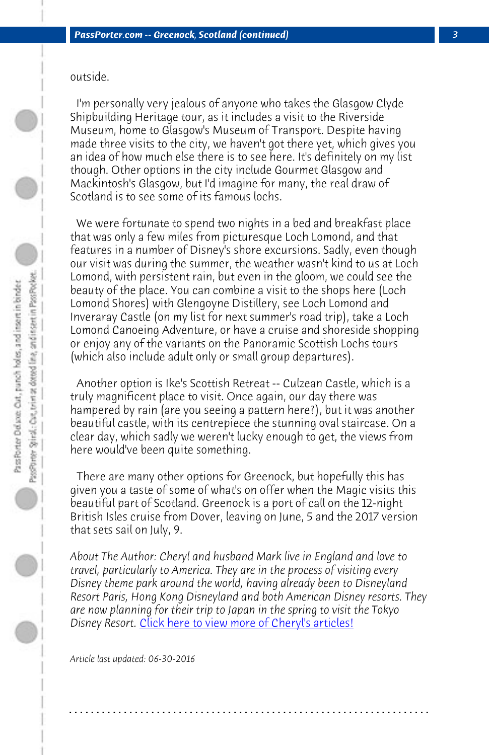outside.

 I'm personally very jealous of anyone who takes the Glasgow Clyde Shipbuilding Heritage tour, as it includes a visit to the Riverside Museum, home to Glasgow's Museum of Transport. Despite having made three visits to the city, we haven't got there yet, which gives you an idea of how much else there is to see here. It's definitely on my list though. Other options in the city include Gourmet Glasgow and Mackintosh's Glasgow, but I'd imagine for many, the real draw of Scotland is to see some of its famous lochs.

 We were fortunate to spend two nights in a bed and breakfast place that was only a few miles from picturesque Loch Lomond, and that features in a number of Disney's shore excursions. Sadly, even though our visit was during the summer, the weather wasn't kind to us at Loch Lomond, with persistent rain, but even in the gloom, we could see the beauty of the place. You can combine a visit to the shops here (Loch Lomond Shores) with Glengoyne Distillery, see Loch Lomond and Inveraray Castle (on my list for next summer's road trip), take a Loch Lomond Canoeing Adventure, or have a cruise and shoreside shopping or enjoy any of the variants on the Panoramic Scottish Lochs tours (which also include adult only or small group departures).

 Another option is Ike's Scottish Retreat -- Culzean Castle, which is a truly magnifi[cent place to visit. Once again, our day there](http://www.passporter.com/articles/cheryl-pendry-featured-columnist.asp) was hampered by rain (are you seeing a pattern here?), but it was another beautiful castle, with its centrepiece the stunning oval staircase. On a clear day, which sadly we weren't lucky enough to get, the views from here would've been quite something.

 There are many other options for Greenock, but hopefully this has given you a taste of some of what's on offer when the Magic visits this beautiful part of Scotland. Greenock is a port of call on the 12-night British Isles cruise from Dover, leaving on June, 5 and the 2017 version that sets sail on July, 9.

*About The Author: Cheryl and husband Mark live in England and love to travel, particularly to America. They are in the process of visiting every Disney theme park around the world, having already been to Disneyland Resort Paris, Hong Kong Disneyland and both American Disney resorts. They are now planning for their trip to Japan in the spring to visit the Tokyo Disney Resort.* Click here to view more of Cheryl's articles!

**. . . . . . . . . . . . . . . . . . . . . . . . . . . . . . . . . . . . . . . . . . . . . . . . . . . . . . . . . . . . . . . . . .**

*Article last updated: 06-30-2016*